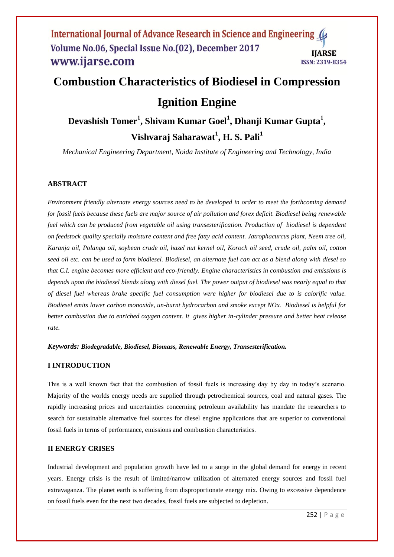## International Journal of Advance Research in Science and Engineering Volume No.06, Special Issue No.(02), December 2017 **IJARSE** www.ijarse.com ISSN: 2319-8354

# **Combustion Characteristics of Biodiesel in Compression Ignition Engine**

**Devashish Tomer<sup>1</sup> , Shivam Kumar Goel<sup>1</sup> , Dhanji Kumar Gupta<sup>1</sup> , Vishvaraj Saharawat<sup>1</sup> , H. S. Pali<sup>1</sup>**

*Mechanical Engineering Department, Noida Institute of Engineering and Technology, India*

# **ABSTRACT**

*Environment friendly alternate energy sources need to be developed in order to meet the forthcoming demand for fossil fuels because these fuels are major source of air pollution and forex deficit. Biodiesel being renewable fuel which can be produced from vegetable oil using transesterification. Production of biodiesel is dependent on feedstock quality specially moisture content and free fatty acid content. Jatrophacurcus plant, Neem tree oil, Karanja oil, Polanga oil, soybean crude oil, hazel nut kernel oil, Koroch oil seed, crude oil, palm oil, cotton seed oil etc. can be used to form biodiesel. Biodiesel, an alternate fuel can act as a blend along with diesel so that C.I. engine becomes more efficient and eco-friendly. Engine characteristics in combustion and emissions is depends upon the biodiesel blends along with diesel fuel. The power output of biodiesel was nearly equal to that of diesel fuel whereas brake specific fuel consumption were higher for biodiesel due to is calorific value. Biodiesel emits lower carbon monoxide, un-burnt hydrocarbon and smoke except NOx. Biodiesel is helpful for better combustion due to enriched oxygen content. It gives higher in-cylinder pressure and better heat release rate.*

*Keywords: Biodegradable, Biodiesel, Biomass, Renewable Energy, Transesterification.*

## **I INTRODUCTION**

This is a well known fact that the combustion of fossil fuels is increasing day by day in today's scenario. Majority of the worlds energy needs are supplied through petrochemical sources, coal and natural gases. The rapidly increasing prices and uncertainties concerning petroleum availability has mandate the researchers to search for sustainable alternative fuel sources for diesel engine applications that are superior to conventional fossil fuels in terms of performance, emissions and combustion characteristics.

# **II ENERGY CRISES**

Industrial development and population growth have led to a surge in the global demand for energy in recent years. Energy crisis is the result of limited/narrow utilization of alternated energy sources and fossil fuel extravaganza. The planet earth is suffering from disproportionate energy mix. Owing to excessive dependence on fossil fuels even for the next two decades, fossil fuels are subjected to depletion.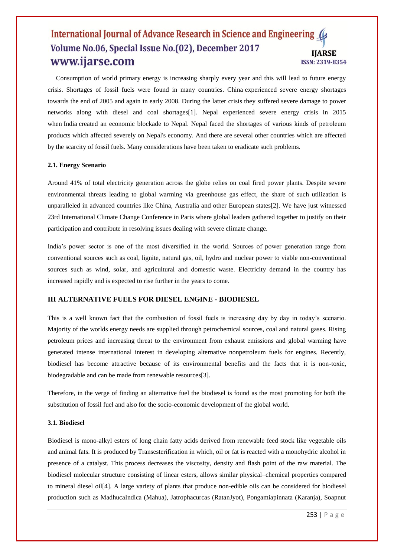## International Journal of Advance Research in Science and Engineering ( Volume No.06, Special Issue No.(02), December 2017 **IJARSE** www.ijarse.com ISSN: 2319-8354

 Consumption of world primary energy is increasing sharply every year and this will lead to future energy crisis. Shortages of fossil fuels were found in many countries. China experienced severe energy shortages towards the end of 2005 and again in early 2008. During the latter crisis they suffered severe damage to power networks along with diesel and coal shortages[1]. Nepal experienced severe energy crisis in 2015 when India created an economic blockade to Nepal. Nepal faced the shortages of various kinds of petroleum products which affected severely on Nepal's economy. And there are several other countries which are affected by the scarcity of fossil fuels. Many considerations have been taken to eradicate such problems.

#### **2.1. Energy Scenario**

Around 41% of total electricity generation across the globe relies on coal fired power plants. Despite severe environmental threats leading to global warming via greenhouse gas effect, the share of such utilization is unparalleled in advanced countries like China, Australia and other European states[2]. We have just witnessed 23rd International Climate Change Conference in Paris where global leaders gathered together to justify on their participation and contribute in resolving issues dealing with severe climate change.

India's power sector is one of the most diversified in the world. Sources of power generation range from conventional sources such as coal, lignite, natural gas, oil, hydro and nuclear power to viable non-conventional sources such as wind, solar, and agricultural and domestic waste. Electricity demand in the country has increased rapidly and is expected to rise further in the years to come.

#### **III ALTERNATIVE FUELS FOR DIESEL ENGINE - BIODIESEL**

This is a well known fact that the combustion of fossil fuels is increasing day by day in today's scenario. Majority of the worlds energy needs are supplied through petrochemical sources, coal and natural gases. Rising petroleum prices and increasing threat to the environment from exhaust emissions and global warming have generated intense international interest in developing alternative nonpetroleum fuels for engines. Recently, biodiesel has become attractive because of its environmental benefits and the facts that it is non-toxic, biodegradable and can be made from renewable resources[3].

Therefore, in the verge of finding an alternative fuel the biodiesel is found as the most promoting for both the substitution of fossil fuel and also for the socio-economic development of the global world.

#### **3.1. Biodiesel**

Biodiesel is mono-alkyl esters of long chain fatty acids derived from renewable feed stock like vegetable oils and animal fats. It is produced by Transesterification in which, oil or fat is reacted with a monohydric alcohol in presence of a catalyst. This process decreases the viscosity, density and flash point of the raw material. The biodiesel molecular structure consisting of linear esters, allows similar physical–chemical properties compared to mineral diesel oil[4]. A large variety of plants that produce non-edible oils can be considered for biodiesel production such as MadhucaIndica (Mahua), Jatrophacurcas (RatanJyot), Pongamiapinnata (Karanja), Soapnut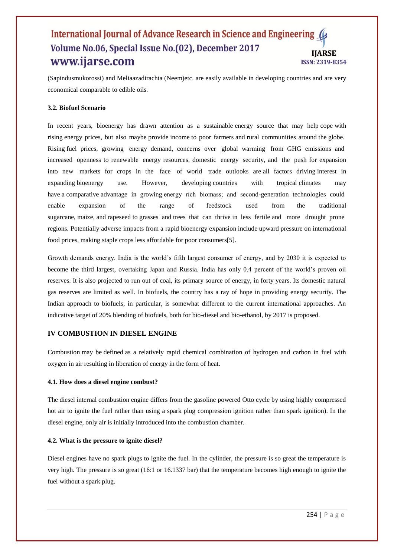## International Journal of Advance Research in Science and Engineering ( Volume No.06, Special Issue No.(02), December 2017 **IIARSE** www.ijarse.com ISSN: 2319-8354

(Sapindusmukorossi) and Meliaazadirachta (Neem)etc. are easily available in developing countries and are very economical comparable to edible oils.

#### **3.2. Biofuel Scenario**

In recent years, bioenergy has drawn attention as a sustainable energy source that may help cope with rising energy prices, but also maybe provide income to poor farmers and rural communities around the globe. Rising fuel prices, growing energy demand, concerns over global warming from GHG emissions and increased openness to renewable energy resources, domestic energy security, and the push for expansion into new markets for crops in the face of world trade outlooks are all factors driving interest in expanding bioenergy use. However, developing countries with tropical climates may have a comparative advantage in growing energy rich biomass; and second-generation technologies could enable expansion of the range of feedstock used from the traditional sugarcane, maize, and rapeseed to grasses and trees that can thrive in less fertile and more drought prone regions. Potentially adverse impacts from a rapid bioenergy expansion include upward pressure on international food prices, making staple crops less affordable for poor consumers[5].

Growth demands energy. India is the world's fifth largest consumer of energy, and by 2030 it is expected to become the third largest, overtaking Japan and Russia. India has only 0.4 percent of the world's proven oil reserves. It is also projected to run out of coal, its primary source of energy, in forty years. Its domestic natural gas reserves are limited as well. In biofuels, the country has a ray of hope in providing energy security. The Indian approach to biofuels, in particular, is somewhat different to the current international approaches. An indicative target of 20% blending of biofuels, both for bio-diesel and bio-ethanol, by 2017 is proposed.

#### **IV COMBUSTION IN DIESEL ENGINE**

Combustion may be defined as a relatively rapid chemical combination of hydrogen and carbon in fuel with oxygen in air resulting in liberation of energy in the form of heat.

#### **4.1. How does a diesel engine combust?**

The diesel internal combustion engine differs from the gasoline powered Otto cycle by using highly compressed hot air to ignite the fuel rather than using a spark plug compression ignition rather than spark ignition). In the diesel engine, only air is initially introduced into the combustion chamber.

## **4.2. What is the pressure to ignite diesel?**

Diesel engines have no spark plugs to ignite the fuel. In the cylinder, the pressure is so great the temperature is very high. The pressure is so great (16:1 or 16.1337 bar) that the temperature becomes high enough to ignite the fuel without a spark plug.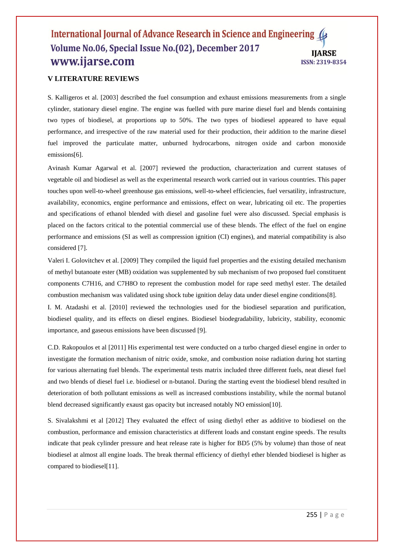## International Journal of Advance Research in Science and Engineering ( Volume No.06, Special Issue No.(02), December 2017 **IIARSE** www.ijarse.com ISSN: 2319-8354

# **V LITERATURE REVIEWS**

S. Kalligeros et al. [2003] described the fuel consumption and exhaust emissions measurements from a single cylinder, stationary diesel engine. The engine was fuelled with pure marine diesel fuel and blends containing two types of biodiesel, at proportions up to 50%. The two types of biodiesel appeared to have equal performance, and irrespective of the raw material used for their production, their addition to the marine diesel fuel improved the particulate matter, unburned hydrocarbons, nitrogen oxide and carbon monoxide emissions[6].

Avinash Kumar Agarwal et al. [2007] reviewed the production, characterization and current statuses of vegetable oil and biodiesel as well as the experimental research work carried out in various countries. This paper touches upon well-to-wheel greenhouse gas emissions, well-to-wheel efficiencies, fuel versatility, infrastructure, availability, economics, engine performance and emissions, effect on wear, lubricating oil etc. The properties and specifications of ethanol blended with diesel and gasoline fuel were also discussed. Special emphasis is placed on the factors critical to the potential commercial use of these blends. The effect of the fuel on engine performance and emissions (SI as well as compression ignition (CI) engines), and material compatibility is also considered [7].

Valeri I. Golovitchev et al. [2009] They compiled the liquid fuel properties and the existing detailed mechanism of methyl butanoate ester (MB) oxidation was supplemented by sub mechanism of two proposed fuel constituent components C7H16, and C7H8O to represent the combustion model for rape seed methyl ester. The detailed combustion mechanism was validated using shock tube ignition delay data under diesel engine conditions[8].

I. M. Atadashi et al. [2010] reviewed the technologies used for the biodiesel separation and purification, biodiesel quality, and its effects on diesel engines. Biodiesel biodegradability, lubricity, stability, economic importance, and gaseous emissions have been discussed [9].

C.D. Rakopoulos et al [2011] His experimental test were conducted on a turbo charged diesel engine in order to investigate the formation mechanism of nitric oxide, smoke, and combustion noise radiation during hot starting for various alternating fuel blends. The experimental tests matrix included three different fuels, neat diesel fuel and two blends of diesel fuel i.e. biodiesel or n-butanol. During the starting event the biodiesel blend resulted in deterioration of both pollutant emissions as well as increased combustions instability, while the normal butanol blend decreased significantly exaust gas opacity but increased notably NO emission[10].

S. Sivalakshmi et al [2012] They evaluated the effect of using diethyl ether as additive to biodiesel on the combustion, performance and emission characteristics at different loads and constant engine speeds. The results indicate that peak cylinder pressure and heat release rate is higher for BD5 (5% by volume) than those of neat biodiesel at almost all engine loads. The break thermal efficiency of diethyl ether blended biodiesel is higher as compared to biodiesel[11].